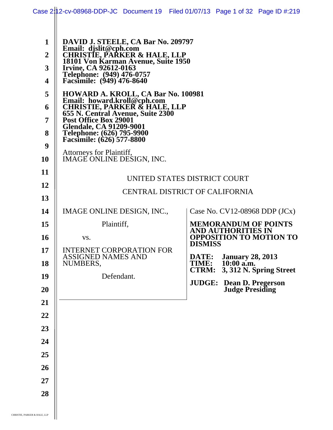|                                            | Case 2:12-cv-08968-DDP-JC Document 19 Filed 01/07/13 Page 1 of 32 Page ID #:219                                                                                                                                                |                                |                                             |                                |
|--------------------------------------------|--------------------------------------------------------------------------------------------------------------------------------------------------------------------------------------------------------------------------------|--------------------------------|---------------------------------------------|--------------------------------|
| $\mathbf{1}$<br>$\boldsymbol{2}$<br>3<br>4 | DAVID J. STEELE, CA Bar No. 209797<br>Email: djslit@cph.com<br>CHRISTIE, PARKER & HALE, LLP<br>18101 Von Karman Avenue, Suite 1950<br>Irvine, CA 92612-0163<br>Telephone: (949) 476-0757<br>Facsimile: (949) 476-8640          |                                |                                             |                                |
| 5<br>6<br>$\overline{7}$<br>8              | HOWARD A. KROLL, CA Bar No. 100981<br>Email: howard.kroll@cph.com<br>CHRISTIE, PARKER & HALE, LLP<br>655 N. Central Avenue, Suite 2300<br>Post Office Box 29001<br><b>Glendale, CA 91209-9001</b><br>Telephone: (626) 795-9900 |                                |                                             |                                |
| 9<br><b>10</b>                             | Facsimile: (626) 577-8800<br>Attorneys for Plaintiff,<br>IMAGE ONLINE DESIGN, INC.                                                                                                                                             |                                |                                             |                                |
| 11                                         |                                                                                                                                                                                                                                | UNITED STATES DISTRICT COURT   |                                             |                                |
| 12                                         |                                                                                                                                                                                                                                | CENTRAL DISTRICT OF CALIFORNIA |                                             |                                |
| 13<br>14                                   | IMAGE ONLINE DESIGN, INC.,                                                                                                                                                                                                     |                                | Case No. $CV12-08968$ DDP $(JCx)$           |                                |
| 15                                         | Plaintiff,                                                                                                                                                                                                                     |                                | <b>MEMORANDUM OF POINTS</b>                 |                                |
| <b>16</b>                                  | VS.                                                                                                                                                                                                                            |                                | AND AUTHORITIES IN                          | <b>OPPOSITION TO MOTION TO</b> |
| 17                                         | <b>INTERNET CORPORATION FOR</b>                                                                                                                                                                                                | <b>DISMISS</b>                 |                                             |                                |
| 18                                         | <b>ASSIGNED NAMES AND</b><br>NUMBERS,                                                                                                                                                                                          | DATE:<br>TIME:                 | <b>January 28, 2013</b><br>$10:00$ a.m.     |                                |
| 19                                         | Defendant.                                                                                                                                                                                                                     | <b>CTRM:</b>                   |                                             | 3, 312 N. Spring Street        |
| 20                                         |                                                                                                                                                                                                                                | <b>JUDGE:</b>                  | Dean D. Pregerson<br><b>Judge Presiding</b> |                                |
| 21                                         |                                                                                                                                                                                                                                |                                |                                             |                                |
| 22                                         |                                                                                                                                                                                                                                |                                |                                             |                                |
| 23                                         |                                                                                                                                                                                                                                |                                |                                             |                                |
| 24                                         |                                                                                                                                                                                                                                |                                |                                             |                                |
| 25                                         |                                                                                                                                                                                                                                |                                |                                             |                                |
| 26                                         |                                                                                                                                                                                                                                |                                |                                             |                                |
| 27                                         |                                                                                                                                                                                                                                |                                |                                             |                                |
| 28                                         |                                                                                                                                                                                                                                |                                |                                             |                                |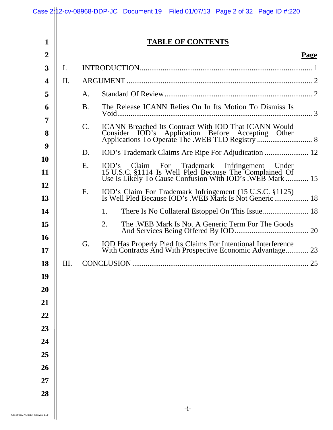|                                |                | Case 2:12-cv-08968-DDP-JC Document 19 Filed 01/07/13 Page 2 of 32 Page ID #:220                                                                                     |
|--------------------------------|----------------|---------------------------------------------------------------------------------------------------------------------------------------------------------------------|
|                                |                |                                                                                                                                                                     |
| $\mathbf{1}$<br>$\overline{2}$ |                | <b>TABLE OF CONTENTS</b><br><b>Page</b>                                                                                                                             |
| 3                              | $\mathbf{I}$ . |                                                                                                                                                                     |
| 4                              | II.            |                                                                                                                                                                     |
| 5                              |                | A.                                                                                                                                                                  |
| 6                              |                | The Release ICANN Relies On In Its Motion To Dismiss Is<br><b>B.</b>                                                                                                |
| 7                              |                |                                                                                                                                                                     |
| 8                              |                | $\mathsf{C}.$<br><b>ICANN</b> Breached Its Contract With <b>IOD</b> That <b>ICANN</b> Would                                                                         |
| 9                              |                | D.                                                                                                                                                                  |
| 10                             |                | Ε.                                                                                                                                                                  |
| 11                             |                | IOD's Claim For Trademark Infringement Under<br>15 U.S.C. §1114 Is Well Pled Because The Complained Of<br>Use Is Likely To Cause Confusion With IOD's .WEB Mark  15 |
| 12                             |                | IOD's Claim For Trademark Infringement (15 U.S.C. §1125)<br>F.                                                                                                      |
| 13                             |                |                                                                                                                                                                     |
| 14                             |                | 1.                                                                                                                                                                  |
| 15                             |                | The .WEB Mark Is Not A Generic Term For The Goods<br>2.                                                                                                             |
| 16<br>17                       |                | G.<br>IOD Has Properly Pled Its Claims For Intentional Interference<br>With Contracts And With Prospective Economic Advantage 23                                    |
| 18                             | Ш.             | 25                                                                                                                                                                  |
| 19                             |                |                                                                                                                                                                     |
| 20                             |                |                                                                                                                                                                     |
| 21                             |                |                                                                                                                                                                     |
| 22                             |                |                                                                                                                                                                     |
| 23                             |                |                                                                                                                                                                     |
| 24                             |                |                                                                                                                                                                     |
| 25                             |                |                                                                                                                                                                     |
| 26                             |                |                                                                                                                                                                     |
| 27                             |                |                                                                                                                                                                     |
| 28                             |                |                                                                                                                                                                     |
|                                |                | $-i-$                                                                                                                                                               |
| R & HALE, LLP                  |                |                                                                                                                                                                     |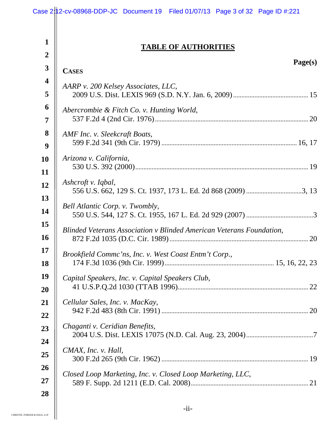|                                  | Case 2:12-cv-08968-DDP-JC Document 19 Filed 01/07/13 Page 3 of 32 Page ID #:221 |
|----------------------------------|---------------------------------------------------------------------------------|
| $\mathbf{1}$<br>$\boldsymbol{2}$ | <b>TABLE OF AUTHORITIES</b>                                                     |
| $\mathbf{3}$                     | Page(s)<br><b>CASES</b>                                                         |
| 4                                | AARP v. 200 Kelsey Associates, LLC,                                             |
| 5                                |                                                                                 |
| 6                                | Abercrombie & Fitch Co. v. Hunting World,                                       |
| 7                                |                                                                                 |
| 8                                | AMF Inc. v. Sleekcraft Boats,                                                   |
| 9                                |                                                                                 |
| 10                               | Arizona v. California,                                                          |
| 11                               |                                                                                 |
| 12                               | Ashcroft v. Iqbal,                                                              |
| 13                               |                                                                                 |
| 14                               | Bell Atlantic Corp. v. Twombly,                                                 |
| 15                               |                                                                                 |
| <b>16</b>                        | Blinded Veterans Association v Blinded American Veterans Foundation,            |
| 17                               | Brookfield Commc'ns, Inc. v. West Coast Entm't Corp.,                           |
| 18                               |                                                                                 |
| 19                               | Capital Speakers, Inc. v. Capital Speakers Club,                                |
| <b>20</b>                        |                                                                                 |
| 21                               | Cellular Sales, Inc. v. MacKay,                                                 |
| 22                               |                                                                                 |
| 23                               | Chaganti v. Ceridian Benefits,                                                  |
| 24                               |                                                                                 |
| 25                               | CMAX, Inc. v. Hall,                                                             |
| <b>26</b>                        | Closed Loop Marketing, Inc. v. Closed Loop Marketing, LLC,                      |
| 27                               |                                                                                 |
| 28                               |                                                                                 |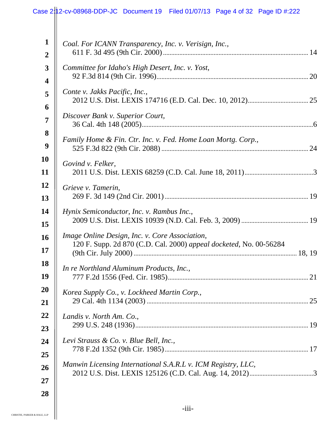|                         | Case 2: 12-cv-08968-DDP-JC Document 19 Filed 01/07/13 Page 4 of 32 Page ID #:222                                     |
|-------------------------|----------------------------------------------------------------------------------------------------------------------|
|                         |                                                                                                                      |
| $\mathbf{1}$            | Coal. For ICANN Transparency, Inc. v. Verisign, Inc.,                                                                |
| $\overline{2}$          |                                                                                                                      |
| 3                       | Committee for Idaho's High Desert, Inc. v. Yost,                                                                     |
| $\overline{\mathbf{4}}$ |                                                                                                                      |
| 5                       | Conte v. Jakks Pacific, Inc.,                                                                                        |
| 6                       |                                                                                                                      |
| $\overline{7}$          | Discover Bank v. Superior Court,                                                                                     |
| 8                       |                                                                                                                      |
| 9                       | Family Home & Fin. Ctr. Inc. v. Fed. Home Loan Mortg. Corp.,                                                         |
| <b>10</b>               |                                                                                                                      |
| 11                      | Govind v. Felker,                                                                                                    |
| 12                      | Grieve v. Tamerin,                                                                                                   |
| 13                      |                                                                                                                      |
| 14                      | Hynix Semiconductor, Inc. v. Rambus Inc.,                                                                            |
| 15                      |                                                                                                                      |
| 16<br>17                | Image Online Design, Inc. v. Core Association,<br>120 F. Supp. 2d 870 (C.D. Cal. 2000) appeal docketed, No. 00-56284 |
| 18                      | In re Northland Aluminum Products, Inc.,                                                                             |
| 19                      |                                                                                                                      |
| <b>20</b>               | Korea Supply Co., v. Lockheed Martin Corp.,                                                                          |
| 21                      |                                                                                                                      |
| 22                      | Landis v. North Am. Co.,                                                                                             |
| 23                      |                                                                                                                      |
| 24                      | Levi Strauss & Co. v. Blue Bell, Inc.,                                                                               |
| 25                      |                                                                                                                      |
| 26                      | Manwin Licensing International S.A.R.L v. ICM Registry, LLC,                                                         |
| 27                      |                                                                                                                      |
| 28                      |                                                                                                                      |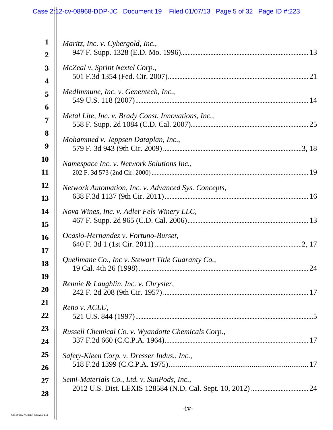|                  | Case 2:12-cv-08968-DDP-JC Document 19 Filed 01/07/13 Page 5 of 32 Page ID #:223 |
|------------------|---------------------------------------------------------------------------------|
|                  |                                                                                 |
| $\mathbf{1}$     |                                                                                 |
|                  | Maritz, Inc. v. Cybergold, Inc.,                                                |
| $\boldsymbol{2}$ |                                                                                 |
| 3                | McZeal v. Sprint Nextel Corp.,                                                  |
| 4                |                                                                                 |
| 5                | MedImmune, Inc. v. Genentech, Inc.,                                             |
| 6                | Metal Lite, Inc. v. Brady Const. Innovations, Inc.,                             |
| $\overline{7}$   |                                                                                 |
| 8                | Mohammed v. Jeppsen Dataplan, Inc.,                                             |
| 9                |                                                                                 |
| <b>10</b>        | Namespace Inc. v. Network Solutions Inc.,                                       |
| 11               |                                                                                 |
| 12               | Network Automation, Inc. v. Advanced Sys. Concepts,                             |
| 13               |                                                                                 |
| 14               | Nova Wines, Inc. v. Adler Fels Winery LLC,                                      |
| 15               |                                                                                 |
| 16               | Ocasio-Hernandez v. Fortuno-Burset,                                             |
| 17               |                                                                                 |
| 18               | Quelimane Co., Inc v. Stewart Title Guaranty Co.,                               |
| 19               |                                                                                 |
| 20               | Rennie & Laughlin, Inc. v. Chrysler,                                            |
| 21               |                                                                                 |
| 22               | Reno v. ACLU,                                                                   |
| 23               |                                                                                 |
| 24               | Russell Chemical Co. v. Wyandotte Chemicals Corp.,                              |
| 25               |                                                                                 |
|                  | Safety-Kleen Corp. v. Dresser Indus., Inc.,                                     |
| 26               | Semi-Materials Co., Ltd. v. SunPods, Inc.,                                      |
| 27               |                                                                                 |
| 28               |                                                                                 |

 $\mathbf{\mathsf{II}}$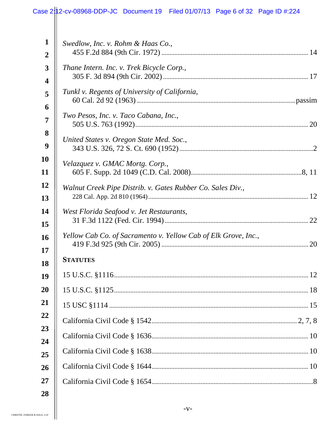|                | Case 2:12-cv-08968-DDP-JC Document 19 Filed 01/07/13 Page 6 of 32 Page ID #:224 |
|----------------|---------------------------------------------------------------------------------|
|                |                                                                                 |
| $\mathbf{1}$   | Swedlow, Inc. v. Rohm & Haas Co.,                                               |
| $\overline{2}$ |                                                                                 |
| 3              | Thane Intern. Inc. v. Trek Bicycle Corp.,                                       |
| 4              |                                                                                 |
| 5              | Tunkl v. Regents of University of California,                                   |
| 6              |                                                                                 |
| 7              | Two Pesos, Inc. v. Taco Cabana, Inc.,                                           |
| 8              |                                                                                 |
| 9              | United States v. Oregon State Med. Soc.,                                        |
| 10             | Velazquez v. GMAC Mortg. Corp.,                                                 |
| 11             |                                                                                 |
| 12             | Walnut Creek Pipe Distrib. v. Gates Rubber Co. Sales Div.,                      |
| 13             |                                                                                 |
| 14             | West Florida Seafood v. Jet Restaurants,                                        |
| 15             |                                                                                 |
| 16             | Yellow Cab Co. of Sacramento v. Yellow Cab of Elk Grove, Inc.,                  |
| 17             |                                                                                 |
| 18             | <b>STATUTES</b>                                                                 |
| 19             |                                                                                 |
| 20             |                                                                                 |
| 21             |                                                                                 |
| 22             |                                                                                 |
| 23             |                                                                                 |
| 24             |                                                                                 |
| 25<br>26       |                                                                                 |
| 27             |                                                                                 |
| 28             |                                                                                 |
|                |                                                                                 |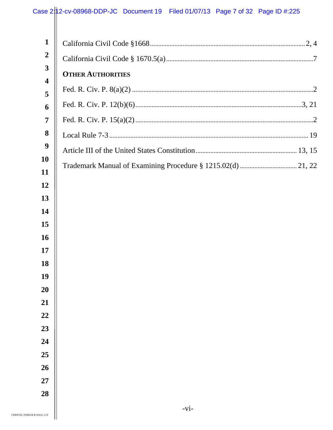| $\mathbf{1}$                            |                          |
|-----------------------------------------|--------------------------|
| $\boldsymbol{2}$                        |                          |
| $\mathbf{3}$<br>$\overline{\mathbf{4}}$ | <b>OTHER AUTHORITIES</b> |
| 5                                       |                          |
| 6                                       |                          |
| $\overline{7}$                          |                          |
| 8                                       |                          |
| $\boldsymbol{9}$                        |                          |
| 10                                      |                          |
| 11                                      |                          |
| 12                                      |                          |
| 13<br>14                                |                          |
| 15                                      |                          |
| <b>16</b>                               |                          |
| 17                                      |                          |
| 18                                      |                          |
| 19                                      |                          |
| 20                                      |                          |
| 21                                      |                          |
| 22                                      |                          |
| 23<br>24                                |                          |
| 25                                      |                          |
| 26                                      |                          |
| 27                                      |                          |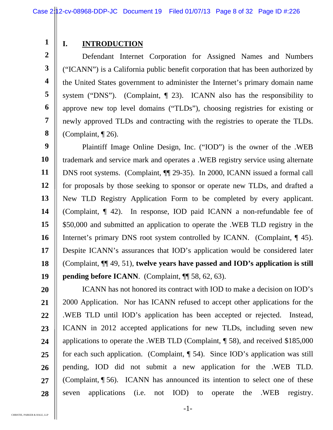**1 2** 

**3** 

**4** 

**5** 

**6** 

**7** 

**8** 

### **I. INTRODUCTION**

 Defendant Internet Corporation for Assigned Names and Numbers ("ICANN") is a California public benefit corporation that has been authorized by the United States government to administer the Internet's primary domain name system ("DNS"). (Complaint, ¶ 23). ICANN also has the responsibility to approve new top level domains ("TLDs"), choosing registries for existing or newly approved TLDs and contracting with the registries to operate the TLDs. (Complaint, ¶ 26).

**9 10 11 12 13 14 15 16 17 18 19**  Plaintiff Image Online Design, Inc. ("IOD") is the owner of the .WEB trademark and service mark and operates a .WEB registry service using alternate DNS root systems. (Complaint, ¶¶ 29-35). In 2000, ICANN issued a formal call for proposals by those seeking to sponsor or operate new TLDs, and drafted a New TLD Registry Application Form to be completed by every applicant. (Complaint, ¶ 42). In response, IOD paid ICANN a non-refundable fee of \$50,000 and submitted an application to operate the .WEB TLD registry in the Internet's primary DNS root system controlled by ICANN. (Complaint, 145). Despite ICANN's assurances that IOD's application would be considered later (Complaint, ¶¶ 49, 51), **twelve years have passed and IOD's application is still pending before ICANN.** (Complaint,  $\P$  58, 62, 63).

**20 21 22 23 24 25 26 27 28**  ICANN has not honored its contract with IOD to make a decision on IOD's 2000 Application. Nor has ICANN refused to accept other applications for the .WEB TLD until IOD's application has been accepted or rejected. Instead, ICANN in 2012 accepted applications for new TLDs, including seven new applications to operate the .WEB TLD (Complaint, ¶ 58), and received \$185,000 for each such application. (Complaint, ¶ 54). Since IOD's application was still pending, IOD did not submit a new application for the .WEB TLD. (Complaint, ¶ 56). ICANN has announced its intention to select one of these seven applications (i.e. not IOD) to operate the .WEB registry.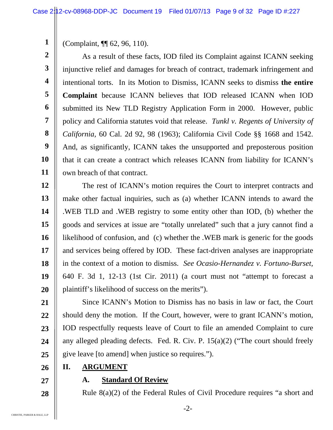**1**  (Complaint, ¶¶ 62, 96, 110).

**2 3 4 5 6 7 8 9 10 11**  As a result of these facts, IOD filed its Complaint against ICANN seeking injunctive relief and damages for breach of contract, trademark infringement and intentional torts. In its Motion to Dismiss, ICANN seeks to dismiss **the entire Complaint** because ICANN believes that IOD released ICANN when IOD submitted its New TLD Registry Application Form in 2000. However, public policy and California statutes void that release. *Tunkl v. Regents of University of California,* 60 Cal. 2d 92, 98 (1963); California Civil Code §§ 1668 and 1542. And, as significantly, ICANN takes the unsupported and preposterous position that it can create a contract which releases ICANN from liability for ICANN's own breach of that contract.

**12 13 14 15 16 17 18 19 20**  The rest of ICANN's motion requires the Court to interpret contracts and make other factual inquiries, such as (a) whether ICANN intends to award the .WEB TLD and .WEB registry to some entity other than IOD, (b) whether the goods and services at issue are "totally unrelated" such that a jury cannot find a likelihood of confusion, and (c) whether the .WEB mark is generic for the goods and services being offered by IOD. These fact-driven analyses are inappropriate in the context of a motion to dismiss. *See Ocasio-Hernandez v. Fortuno-Burset,*  640 F. 3d 1, 12-13 (1st Cir. 2011) (a court must not "attempt to forecast a plaintiff's likelihood of success on the merits").

**21 22 23 24 25**  Since ICANN's Motion to Dismiss has no basis in law or fact, the Court should deny the motion. If the Court, however, were to grant ICANN's motion, IOD respectfully requests leave of Court to file an amended Complaint to cure any alleged pleading defects. Fed. R. Civ. P. 15(a)(2) ("The court should freely give leave [to amend] when justice so requires.").

- **26 II. ARGUMENT**
- **27**

**28** 

#### **A. Standard Of Review**

Rule 8(a)(2) of the Federal Rules of Civil Procedure requires "a short and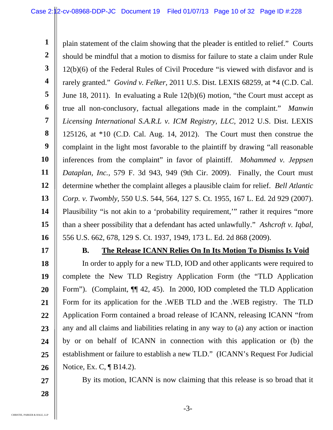**1 2 3 4 5 6 7 8 9 10 11 12 13 14 15 16**  plain statement of the claim showing that the pleader is entitled to relief." Courts should be mindful that a motion to dismiss for failure to state a claim under Rule 12(b)(6) of the Federal Rules of Civil Procedure "is viewed with disfavor and is rarely granted." *Govind v. Felker,* 2011 U.S. Dist. LEXIS 68259, at \*4 (C.D. Cal. June 18, 2011). In evaluating a Rule 12(b)(6) motion, "the Court must accept as true all non-conclusory, factual allegations made in the complaint." *Manwin Licensing International S.A.R.L v. ICM Registry, LLC,* 2012 U.S. Dist. LEXIS 125126, at \*10 (C.D. Cal. Aug. 14, 2012). The Court must then construe the complaint in the light most favorable to the plaintiff by drawing "all reasonable inferences from the complaint" in favor of plaintiff. *Mohammed v. Jeppsen Dataplan, Inc.,* 579 F. 3d 943, 949 (9th Cir. 2009). Finally, the Court must determine whether the complaint alleges a plausible claim for relief. *Bell Atlantic Corp. v. Twombly,* 550 U.S. 544, 564, 127 S. Ct. 1955, 167 L. Ed. 2d 929 (2007). Plausibility "is not akin to a 'probability requirement,'" rather it requires "more than a sheer possibility that a defendant has acted unlawfully." *Ashcroft v. Iqbal,*  556 U.S. 662, 678, 129 S. Ct. 1937, 1949, 173 L. Ed. 2d 868 (2009).

**17** 

#### **B. The Release ICANN Relies On In Its Motion To Dismiss Is Void**

**18 19 20 21 22 23 24 25 26**  In order to apply for a new TLD, IOD and other applicants were required to complete the New TLD Registry Application Form (the "TLD Application Form"). (Complaint,  $\P$  42, 45). In 2000, IOD completed the TLD Application Form for its application for the .WEB TLD and the .WEB registry. The TLD Application Form contained a broad release of ICANN, releasing ICANN "from any and all claims and liabilities relating in any way to (a) any action or inaction by or on behalf of ICANN in connection with this application or (b) the establishment or failure to establish a new TLD." (ICANN's Request For Judicial Notice, Ex. C, ¶ B14.2).

**27 28** 

By its motion, ICANN is now claiming that this release is so broad that it

CHRISTIE, PARKER & HALE, LLP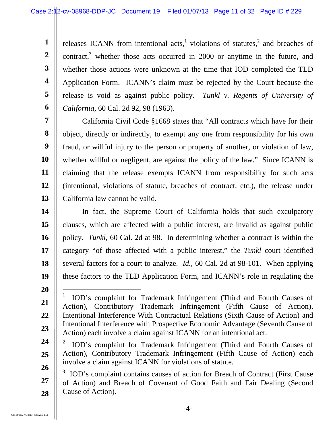releases ICANN from intentional acts, violations of statutes,  $2$  and breaches of contract,<sup>3</sup> whether those acts occurred in 2000 or anytime in the future, and whether those actions were unknown at the time that IOD completed the TLD Application Form. ICANN's claim must be rejected by the Court because the release is void as against public policy. *Tunkl v. Regents of University of California,* 60 Cal. 2d 92, 98 (1963).

**7 8 9 10 11 12 13**  California Civil Code §1668 states that "All contracts which have for their object, directly or indirectly, to exempt any one from responsibility for his own fraud, or willful injury to the person or property of another, or violation of law, whether willful or negligent, are against the policy of the law." Since ICANN is claiming that the release exempts ICANN from responsibility for such acts (intentional, violations of statute, breaches of contract, etc.), the release under California law cannot be valid.

**14 15 16 17 18 19**  In fact, the Supreme Court of California holds that such exculpatory clauses, which are affected with a public interest, are invalid as against public policy. *Tunkl,* 60 Cal. 2d at 98. In determining whether a contract is within the category "of those affected with a public interest," the *Tunkl* court identified several factors for a court to analyze. *Id.,* 60 Cal. 2d at 98-101. When applying these factors to the TLD Application Form, and ICANN's role in regulating the

**20** 

**21** 

**22** 

**23** 

**1** 

**2** 

**3** 

**4** 

**5** 

 $\overline{a}$ 1 IOD's complaint for Trademark Infringement (Third and Fourth Causes of Action), Contributory Trademark Infringement (Fifth Cause of Action), Intentional Interference With Contractual Relations (Sixth Cause of Action) and Intentional Interference with Prospective Economic Advantage (Seventh Cause of Action) each involve a claim against ICANN for an intentional act.

**<sup>24</sup>  25 26**  2 IOD's complaint for Trademark Infringement (Third and Fourth Causes of Action), Contributory Trademark Infringement (Fifth Cause of Action) each involve a claim against ICANN for violations of statute.

**<sup>27</sup>  28**  3 IOD's complaint contains causes of action for Breach of Contract (First Cause of Action) and Breach of Covenant of Good Faith and Fair Dealing (Second Cause of Action).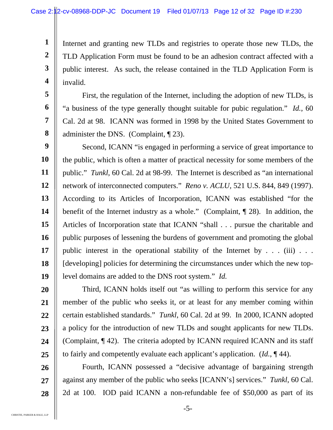Internet and granting new TLDs and registries to operate those new TLDs, the TLD Application Form must be found to be an adhesion contract affected with a public interest. As such, the release contained in the TLD Application Form is invalid.

 First, the regulation of the Internet, including the adoption of new TLDs, is "a business of the type generally thought suitable for pubic regulation." *Id.*, 60 Cal. 2d at 98.ICANN was formed in 1998 by the United States Government to administer the DNS. (Complaint, ¶ 23).

**9 10 11 12 13 14 15 16 17 18 19**  Second, ICANN "is engaged in performing a service of great importance to the public, which is often a matter of practical necessity for some members of the public." *Tunkl*, 60 Cal. 2d at 98-99. The Internet is described as "an international network of interconnected computers." *Reno v. ACLU,* 521 U.S. 844, 849 (1997). According to its Articles of Incorporation, ICANN was established "for the benefit of the Internet industry as a whole." (Complaint, ¶ 28). In addition, the Articles of Incorporation state that ICANN "shall . . . pursue the charitable and public purposes of lessening the burdens of government and promoting the global public interest in the operational stability of the Internet by  $\dots$  (iii)  $\dots$ [developing] policies for determining the circumstances under which the new toplevel domains are added to the DNS root system." *Id.* 

 Third, ICANN holds itself out "as willing to perform this service for any member of the public who seeks it, or at least for any member coming within certain established standards." *Tunkl*, 60 Cal. 2d at 99. In 2000, ICANN adopted a policy for the introduction of new TLDs and sought applicants for new TLDs. (Complaint, ¶ 42). The criteria adopted by ICANN required ICANN and its staff to fairly and competently evaluate each applicant's application. (*Id.*, ¶ 44).

 Fourth, ICANN possessed a "decisive advantage of bargaining strength against any member of the public who seeks [ICANN's] services." *Tunkl*, 60 Cal. 2d at 100. IOD paid ICANN a non-refundable fee of \$50,000 as part of its

**1** 

**2** 

**3** 

**4** 

**5** 

**6** 

**7** 

**8** 

**20** 

**21** 

**22** 

**23** 

**24** 

**25** 

**26** 

**27**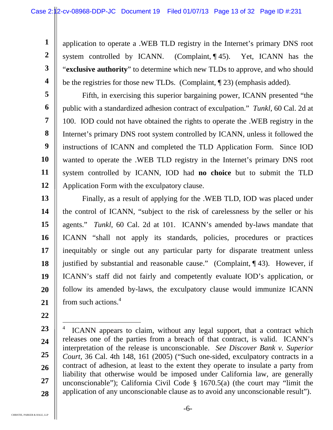application to operate a .WEB TLD registry in the Internet's primary DNS root system controlled by ICANN. (Complaint, ¶ 45). Yet, ICANN has the "**exclusive authority**" to determine which new TLDs to approve, and who should be the registries for those new TLDs. (Complaint, ¶ 23) (emphasis added).

**5 6 7 8 9 10 11 12**  Fifth, in exercising this superior bargaining power, ICANN presented "the public with a standardized adhesion contract of exculpation." *Tunkl*, 60 Cal. 2d at 100. IOD could not have obtained the rights to operate the .WEB registry in the Internet's primary DNS root system controlled by ICANN, unless it followed the instructions of ICANN and completed the TLD Application Form. Since IOD wanted to operate the .WEB TLD registry in the Internet's primary DNS root system controlled by ICANN, IOD had **no choice** but to submit the TLD Application Form with the exculpatory clause.

**13 14 15 16 17 18 19 20 21**  Finally, as a result of applying for the .WEB TLD, IOD was placed under the control of ICANN, "subject to the risk of carelessness by the seller or his agents." *Tunkl*, 60 Cal. 2d at 101. ICANN's amended by-laws mandate that ICANN "shall not apply its standards, policies, procedures or practices inequitably or single out any particular party for disparate treatment unless justified by substantial and reasonable cause." (Complaint, ¶ 43). However, if ICANN's staff did not fairly and competently evaluate IOD's application, or follow its amended by-laws, the exculpatory clause would immunize ICANN from such actions.<sup>4</sup>

**22** 

**1** 

**2** 

**3** 

**<sup>23</sup>  24 25 26 27 28**   $\overline{a}$ 4 ICANN appears to claim, without any legal support, that a contract which releases one of the parties from a breach of that contract, is valid. ICANN's interpretation of the release is unconscionable. *See Discover Bank v. Superior Court,* 36 Cal. 4th 148, 161 (2005) ("Such one-sided, exculpatory contracts in a contract of adhesion, at least to the extent they operate to insulate a party from liability that otherwise would be imposed under California law, are generally unconscionable"); California Civil Code § 1670.5(a) (the court may "limit the application of any unconscionable clause as to avoid any unconscionable result").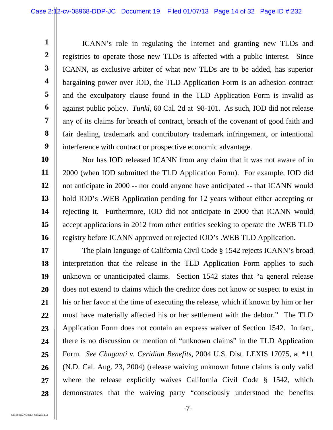ICANN's role in regulating the Internet and granting new TLDs and registries to operate those new TLDs is affected with a public interest. Since ICANN, as exclusive arbiter of what new TLDs are to be added, has superior bargaining power over IOD, the TLD Application Form is an adhesion contract and the exculpatory clause found in the TLD Application Form is invalid as against public policy. *Tunkl,* 60 Cal. 2d at 98-101. As such, IOD did not release any of its claims for breach of contract, breach of the covenant of good faith and fair dealing, trademark and contributory trademark infringement, or intentional interference with contract or prospective economic advantage.

**10 11 12 13 14 15 16**  Nor has IOD released ICANN from any claim that it was not aware of in 2000 (when IOD submitted the TLD Application Form). For example, IOD did not anticipate in 2000 -- nor could anyone have anticipated -- that ICANN would hold IOD's .WEB Application pending for 12 years without either accepting or rejecting it. Furthermore, IOD did not anticipate in 2000 that ICANN would accept applications in 2012 from other entities seeking to operate the .WEB TLD registry before ICANN approved or rejected IOD's .WEB TLD Application.

**17 18 19 20 21 22 23 24 25 26 27 28**  The plain language of California Civil Code § 1542 rejects ICANN's broad interpretation that the release in the TLD Application Form applies to such unknown or unanticipated claims. Section 1542 states that "a general release does not extend to claims which the creditor does not know or suspect to exist in his or her favor at the time of executing the release, which if known by him or her must have materially affected his or her settlement with the debtor." The TLD Application Form does not contain an express waiver of Section 1542. In fact, there is no discussion or mention of "unknown claims" in the TLD Application Form. *See Chaganti v. Ceridian Benefits,* 2004 U.S. Dist. LEXIS 17075, at \*11 (N.D. Cal. Aug. 23, 2004) (release waiving unknown future claims is only valid where the release explicitly waives California Civil Code § 1542, which demonstrates that the waiving party "consciously understood the benefits

CHRISTIE, PARKER & HALE, LLP

**1** 

**2** 

**3** 

**4** 

**5** 

**6** 

**7** 

**8**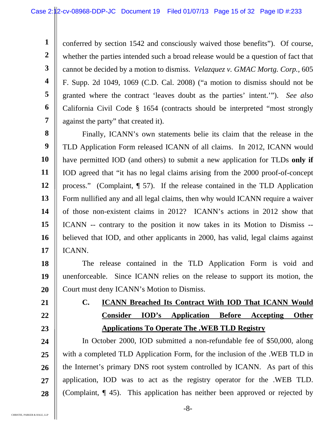conferred by section 1542 and consciously waived those benefits"). Of course, whether the parties intended such a broad release would be a question of fact that cannot be decided by a motion to dismiss. *Velazquez v. GMAC Mortg. Corp.,* 605 F. Supp. 2d 1049, 1069 (C.D. Cal. 2008) ("a motion to dismiss should not be granted where the contract 'leaves doubt as the parties' intent.'"). *See also*  California Civil Code § 1654 (contracts should be interpreted "most strongly against the party" that created it).

**8 9 10 11 12 13 14 15 16 17**  Finally, ICANN's own statements belie its claim that the release in the TLD Application Form released ICANN of all claims. In 2012, ICANN would have permitted IOD (and others) to submit a new application for TLDs **only if**  IOD agreed that "it has no legal claims arising from the 2000 proof-of-concept process." (Complaint, ¶ 57). If the release contained in the TLD Application Form nullified any and all legal claims, then why would ICANN require a waiver of those non-existent claims in 2012? ICANN's actions in 2012 show that ICANN -- contrary to the position it now takes in its Motion to Dismiss - believed that IOD, and other applicants in 2000, has valid, legal claims against ICANN.

**18 19 20**  The release contained in the TLD Application Form is void and unenforceable. Since ICANN relies on the release to support its motion, the Court must deny ICANN's Motion to Dismiss.

**21 22** 

**1** 

**2** 

**3** 

**4** 

**5** 

**6** 

**7** 

**23** 

# **C. ICANN Breached Its Contract With IOD That ICANN Would Consider IOD's Application Before Accepting Other Applications To Operate The .WEB TLD Registry**

**24 25 26 27 28**  In October 2000, IOD submitted a non-refundable fee of \$50,000, along with a completed TLD Application Form, for the inclusion of the .WEB TLD in the Internet's primary DNS root system controlled by ICANN. As part of this application, IOD was to act as the registry operator for the .WEB TLD. (Complaint, ¶ 45). This application has neither been approved or rejected by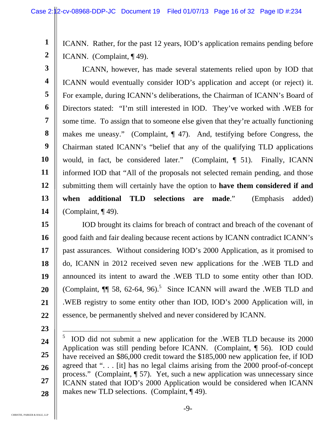ICANN. Rather, for the past 12 years, IOD's application remains pending before ICANN. (Complaint, ¶ 49).

**3 4 5 6 7 8 9 10 11 12 13 14**  ICANN, however, has made several statements relied upon by IOD that ICANN would eventually consider IOD's application and accept (or reject) it. For example, during ICANN's deliberations, the Chairman of ICANN's Board of Directors stated: "I'm still interested in IOD. They've worked with .WEB for some time. To assign that to someone else given that they're actually functioning makes me uneasy." (Complaint, ¶ 47). And, testifying before Congress, the Chairman stated ICANN's "belief that any of the qualifying TLD applications would, in fact, be considered later." (Complaint, ¶ 51). Finally, ICANN informed IOD that "All of the proposals not selected remain pending, and those submitting them will certainly have the option to **have them considered if and when additional TLD selections are made**." (Emphasis added) (Complaint, ¶ 49).

**15 16 17 18 19 20 21 22**  IOD brought its claims for breach of contract and breach of the covenant of good faith and fair dealing because recent actions by ICANN contradict ICANN's past assurances. Without considering IOD's 2000 Application, as it promised to do, ICANN in 2012 received seven new applications for the .WEB TLD and announced its intent to award the .WEB TLD to some entity other than IOD. (Complaint,  $\P$  58, 62-64, 96).<sup>5</sup> Since ICANN will award the .WEB TLD and .WEB registry to some entity other than IOD, IOD's 2000 Application will, in essence, be permanently shelved and never considered by ICANN.

 $\overline{a}$ 

**1** 

**2** 

- **24**
- **25**

**26** 

**27** 

**28** 

5 IOD did not submit a new application for the .WEB TLD because its 2000 Application was still pending before ICANN. (Complaint, ¶ 56). IOD could have received an \$86,000 credit toward the \$185,000 new application fee, if IOD agreed that ". . . [it] has no legal claims arising from the 2000 proof-of-concept process." (Complaint, ¶ 57). Yet, such a new application was unnecessary since ICANN stated that IOD's 2000 Application would be considered when ICANN makes new TLD selections. (Complaint, ¶ 49).

**<sup>23</sup>**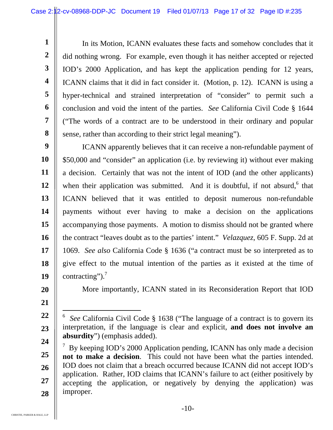In its Motion, ICANN evaluates these facts and somehow concludes that it did nothing wrong. For example, even though it has neither accepted or rejected IOD's 2000 Application, and has kept the application pending for 12 years, ICANN claims that it did in fact consider it. (Motion, p. 12). ICANN is using a hyper-technical and strained interpretation of "consider" to permit such a conclusion and void the intent of the parties. *See* California Civil Code § 1644 ("The words of a contract are to be understood in their ordinary and popular sense, rather than according to their strict legal meaning").

**9 10 11 12 13 14 15 16 17 18 19**  ICANN apparently believes that it can receive a non-refundable payment of \$50,000 and "consider" an application (i.e. by reviewing it) without ever making a decision. Certainly that was not the intent of IOD (and the other applicants) when their application was submitted. And it is doubtful, if not absurd, $6$  that ICANN believed that it was entitled to deposit numerous non-refundable payments without ever having to make a decision on the applications accompanying those payments. A motion to dismiss should not be granted where the contract "leaves doubt as to the parties' intent." *Velazquez*, 605 F. Supp. 2d at 1069. *See also* California Code § 1636 ("a contract must be so interpreted as to give effect to the mutual intention of the parties as it existed at the time of contracting"). $^7$ 

**20** 

**1** 

**2** 

**3** 

**4** 

**5** 

**6** 

**7** 

**8** 

**21** 

 $\overline{a}$ 

More importantly, ICANN stated in its Reconsideration Report that IOD

**<sup>22</sup>  23 24**  6 *See* California Civil Code § 1638 ("The language of a contract is to govern its interpretation, if the language is clear and explicit, **and does not involve an absurdity**") (emphasis added).

**<sup>25</sup>  26 27 28**   $7$  By keeping IOD's 2000 Application pending, ICANN has only made a decision **not to make a decision**. This could not have been what the parties intended. IOD does not claim that a breach occurred because ICANN did not accept IOD's application. Rather, IOD claims that ICANN's failure to act (either positively by accepting the application, or negatively by denying the application) was improper.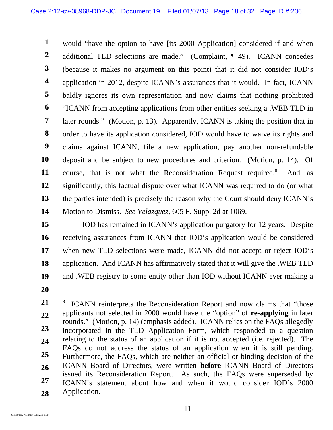**1 2 3 4 5 6 7 8 9 10 11 12 13 14**  would "have the option to have [its 2000 Application] considered if and when additional TLD selections are made." (Complaint, ¶ 49). ICANN concedes (because it makes no argument on this point) that it did not consider IOD's application in 2012, despite ICANN's assurances that it would. In fact, ICANN baldly ignores its own representation and now claims that nothing prohibited "ICANN from accepting applications from other entities seeking a .WEB TLD in later rounds." (Motion, p. 13). Apparently, ICANN is taking the position that in order to have its application considered, IOD would have to waive its rights and claims against ICANN, file a new application, pay another non-refundable deposit and be subject to new procedures and criterion. (Motion, p. 14). Of course, that is not what the Reconsideration Request required.<sup>8</sup> And, as significantly, this factual dispute over what ICANN was required to do (or what the parties intended) is precisely the reason why the Court should deny ICANN's Motion to Dismiss. *See Velazquez,* 605 F. Supp. 2d at 1069.

- **15 16 17 18 19**  IOD has remained in ICANN's application purgatory for 12 years. Despite receiving assurances from ICANN that IOD's application would be considered when new TLD selections were made, ICANN did not accept or reject IOD's application. And ICANN has affirmatively stated that it will give the .WEB TLD and .WEB registry to some entity other than IOD without ICANN ever making a
- **20**

**<sup>21</sup>  22 23 24 25 26 27 28**   $\overline{a}$ 8 ICANN reinterprets the Reconsideration Report and now claims that "those applicants not selected in 2000 would have the "option" of **re-applying** in later rounds." (Motion, p. 14) (emphasis added). ICANN relies on the FAQs allegedly incorporated in the TLD Application Form, which responded to a question relating to the status of an application if it is not accepted (i.e. rejected). The FAQs do not address the status of an application when it is still pending. Furthermore, the FAQs, which are neither an official or binding decision of the ICANN Board of Directors, were written **before** ICANN Board of Directors issued its Reconsideration Report. As such, the FAQs were superseded by ICANN's statement about how and when it would consider IOD's 2000 Application.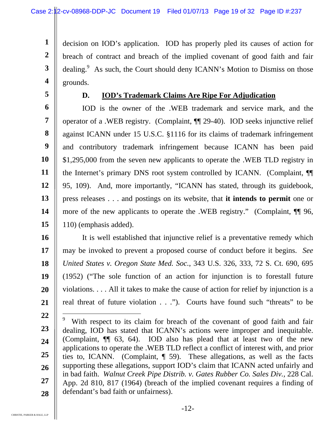decision on IOD's application. IOD has properly pled its causes of action for breach of contract and breach of the implied covenant of good faith and fair dealing.<sup>9</sup> As such, the Court should deny ICANN's Motion to Dismiss on those grounds.

**5** 

**1** 

**2** 

**3** 

**4** 

#### **D. IOD's Trademark Claims Are Ripe For Adjudication**

**6 7 8 9 10 11 12 13 14 15**  IOD is the owner of the .WEB trademark and service mark, and the operator of a .WEB registry. (Complaint, ¶¶ 29-40). IOD seeks injunctive relief against ICANN under 15 U.S.C. §1116 for its claims of trademark infringement and contributory trademark infringement because ICANN has been paid \$1,295,000 from the seven new applicants to operate the .WEB TLD registry in the Internet's primary DNS root system controlled by ICANN. (Complaint, ¶¶ 95, 109). And, more importantly, "ICANN has stated, through its guidebook, press releases . . . and postings on its website, that **it intends to permit** one or more of the new applicants to operate the .WEB registry." (Complaint,  $\P$  96, 110) (emphasis added).

**16 17 18 19 20 21**  It is well established that injunctive relief is a preventative remedy which may be invoked to prevent a proposed course of conduct before it begins. *See United States v. Oregon State Med. Soc.*, 343 U.S. 326, 333, 72 S. Ct. 690, 695 (1952) ("The sole function of an action for injunction is to forestall future violations. . . . All it takes to make the cause of action for relief by injunction is a real threat of future violation . . ."). Courts have found such "threats" to be

**<sup>22</sup>  23 24 25 26 27 28**   $\overline{a}$ 9 With respect to its claim for breach of the covenant of good faith and fair dealing, IOD has stated that ICANN's actions were improper and inequitable. (Complaint, ¶¶ 63, 64). IOD also has plead that at least two of the new applications to operate the .WEB TLD reflect a conflict of interest with, and prior ties to, ICANN. (Complaint, ¶ 59). These allegations, as well as the facts supporting these allegations, support IOD's claim that ICANN acted unfairly and in bad faith. *Walnut Creek Pipe Distrib. v. Gates Rubber Co. Sales Div.,* 228 Cal. App. 2d 810, 817 (1964) (breach of the implied covenant requires a finding of defendant's bad faith or unfairness).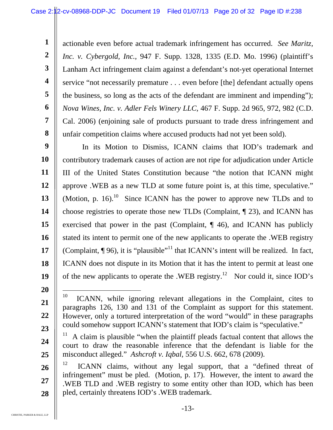actionable even before actual trademark infringement has occurred. *See Maritz, Inc. v. Cybergold, Inc.*, 947 F. Supp. 1328, 1335 (E.D. Mo. 1996) (plaintiff's Lanham Act infringement claim against a defendant's not-yet operational Internet service "not necessarily premature . . . even before [the] defendant actually opens the business, so long as the acts of the defendant are imminent and impending"); *Nova Wines, Inc. v. Adler Fels Winery LLC,* 467 F. Supp. 2d 965, 972, 982 (C.D. Cal. 2006) (enjoining sale of products pursuant to trade dress infringement and unfair competition claims where accused products had not yet been sold).

**9 10 11 12 13 14 15 16 17 18 19**  In its Motion to Dismiss, ICANN claims that IOD's trademark and contributory trademark causes of action are not ripe for adjudication under Article III of the United States Constitution because "the notion that ICANN might approve .WEB as a new TLD at some future point is, at this time, speculative." (Motion, p. 16).<sup>10</sup> Since ICANN has the power to approve new TLDs and to choose registries to operate those new TLDs (Complaint, ¶ 23), and ICANN has exercised that power in the past (Complaint, ¶ 46), and ICANN has publicly stated its intent to permit one of the new applicants to operate the .WEB registry (Complaint,  $\P$  96), it is "plausible"<sup>11</sup> that ICANN's intent will be realized. In fact, ICANN does not dispute in its Motion that it has the intent to permit at least one of the new applicants to operate the .WEB registry.<sup>12</sup> Nor could it, since IOD's

**20** 

**21** 

**22** 

**23** 

**24** 

**25** 

**1** 

**2** 

**3** 

**4** 

**5** 

**6** 

**7** 

 $10\,$ 10 ICANN, while ignoring relevant allegations in the Complaint, cites to paragraphs 126, 130 and 131 of the Complaint as support for this statement. However, only a tortured interpretation of the word "would" in these paragraphs could somehow support ICANN's statement that IOD's claim is "speculative."

 $11$  A claim is plausible "when the plaintiff pleads factual content that allows the court to draw the reasonable inference that the defendant is liable for the misconduct alleged." *Ashcroft v. Iqbal,* 556 U.S. 662, 678 (2009).

**<sup>26</sup>  27 28**   $12$  ICANN claims, without any legal support, that a "defined threat of infringement" must be pled. (Motion, p. 17). However, the intent to award the .WEB TLD and .WEB registry to some entity other than IOD, which has been pled, certainly threatens IOD's .WEB trademark.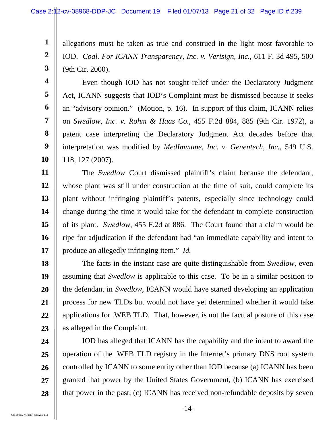allegations must be taken as true and construed in the light most favorable to IOD. *Coal. For ICANN Transparency, Inc. v. Verisign, Inc.,* 611 F. 3d 495, 500 (9th Cir. 2000).

 Even though IOD has not sought relief under the Declaratory Judgment Act, ICANN suggests that IOD's Complaint must be dismissed because it seeks an "advisory opinion." (Motion, p. 16). In support of this claim, ICANN relies on *Swedlow, Inc. v. Rohm & Haas Co.*, 455 F.2d 884, 885 (9th Cir. 1972), a patent case interpreting the Declaratory Judgment Act decades before that interpretation was modified by *MedImmune, Inc. v. Genentech, Inc.*, 549 U.S. 118, 127 (2007).

**11 12 13 14 15 16 17**  The *Swedlow* Court dismissed plaintiff's claim because the defendant, whose plant was still under construction at the time of suit, could complete its plant without infringing plaintiff's patents, especially since technology could change during the time it would take for the defendant to complete construction of its plant. *Swedlow*, 455 F.2d at 886. The Court found that a claim would be ripe for adjudication if the defendant had "an immediate capability and intent to produce an allegedly infringing item." *Id.*

**18 19 20 21 22 23**  The facts in the instant case are quite distinguishable from *Swedlow*, even assuming that *Swedlow* is applicable to this case. To be in a similar position to the defendant in *Swedlow,* ICANN would have started developing an application process for new TLDs but would not have yet determined whether it would take applications for .WEB TLD. That, however, is not the factual posture of this case as alleged in the Complaint.

**24 25 26 27 28**  IOD has alleged that ICANN has the capability and the intent to award the operation of the .WEB TLD registry in the Internet's primary DNS root system controlled by ICANN to some entity other than IOD because (a) ICANN has been granted that power by the United States Government, (b) ICANN has exercised that power in the past, (c) ICANN has received non-refundable deposits by seven

**1** 

**2** 

**3** 

**4** 

**5** 

**6** 

**7** 

**8** 

**9**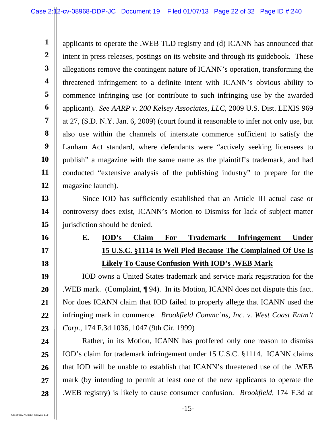**1 2 3 4 5 6 7 8 9 10 11 12**  applicants to operate the .WEB TLD registry and (d) ICANN has announced that intent in press releases, postings on its website and through its guidebook. These allegations remove the contingent nature of ICANN's operation, transforming the threatened infringement to a definite intent with ICANN's obvious ability to commence infringing use (or contribute to such infringing use by the awarded applicant). *See AARP v. 200 Kelsey Associates, LLC*, 2009 U.S. Dist. LEXIS 969 at 27, (S.D. N.Y. Jan. 6, 2009) (court found it reasonable to infer not only use, but also use within the channels of interstate commerce sufficient to satisfy the Lanham Act standard, where defendants were "actively seeking licensees to publish" a magazine with the same name as the plaintiff's trademark, and had conducted "extensive analysis of the publishing industry" to prepare for the magazine launch).

**13 14 15**  Since IOD has sufficiently established that an Article III actual case or controversy does exist, ICANN's Motion to Dismiss for lack of subject matter jurisdiction should be denied.

**E. IOD's Claim For Trademark Infringement Under 15 U.S.C. §1114 Is Well Pled Because The Complained Of Use Is Likely To Cause Confusion With IOD's .WEB Mark** 

**19 20 21 22 23**  IOD owns a United States trademark and service mark registration for the .WEB mark. (Complaint, ¶ 94). In its Motion, ICANN does not dispute this fact. Nor does ICANN claim that IOD failed to properly allege that ICANN used the infringing mark in commerce. *Brookfield Commc'ns, Inc. v. West Coast Entm't Corp*., 174 F.3d 1036, 1047 (9th Cir. 1999)

**24 25 26 27 28**  Rather, in its Motion, ICANN has proffered only one reason to dismiss IOD's claim for trademark infringement under 15 U.S.C. §1114. ICANN claims that IOD will be unable to establish that ICANN's threatened use of the .WEB mark (by intending to permit at least one of the new applicants to operate the .WEB registry) is likely to cause consumer confusion. *Brookfield,* 174 F.3d at

**16** 

**17**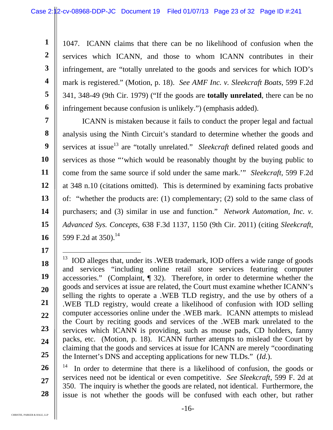1047. ICANN claims that there can be no likelihood of confusion when the services which ICANN, and those to whom ICANN contributes in their infringement, are "totally unrelated to the goods and services for which IOD's mark is registered." (Motion, p. 18). *See AMF Inc. v. Sleekcraft Boats*, 599 F.2d 341, 348-49 (9th Cir. 1979) ("If the goods are **totally unrelated**, there can be no infringement because confusion is unlikely.") (emphasis added).

**7 8 9 10 11 12 13 14 15 16**  ICANN is mistaken because it fails to conduct the proper legal and factual analysis using the Ninth Circuit's standard to determine whether the goods and services at issue<sup>13</sup> are "totally unrelated." *Sleekcraft* defined related goods and services as those "'which would be reasonably thought by the buying public to come from the same source if sold under the same mark.'" *Sleekcraft*, 599 F.2d at 348 n.10 (citations omitted). This is determined by examining facts probative of: "whether the products are: (1) complementary; (2) sold to the same class of purchasers; and (3) similar in use and function." *Network Automation, Inc. v. Advanced Sys. Concepts*, 638 F.3d 1137, 1150 (9th Cir. 2011) (citing *Sleekcraft*, 599 F.2d at 350).<sup>14</sup>

**26 27 28**  In order to determine that there is a likelihood of confusion, the goods or services need not be identical or even competitive. *See Sleekcraft*, 599 F. 2d at 350. The inquiry is whether the goods are related, not identical. Furthermore, the issue is not whether the goods will be confused with each other, but rather

**1** 

**2** 

**3** 

**4** 

**5** 

**6** 

**<sup>18</sup>  19 20 21 22 23 24 25**  l <sup>13</sup> IOD alleges that, under its .WEB trademark, IOD offers a wide range of goods and services "including online retail store services featuring computer accessories." (Complaint, ¶ 32). Therefore, in order to determine whether the goods and services at issue are related, the Court must examine whether ICANN's selling the rights to operate a .WEB TLD registry, and the use by others of a .WEB TLD registry, would create a likelihood of confusion with IOD selling computer accessories online under the .WEB mark. ICANN attempts to mislead the Court by reciting goods and services of the .WEB mark unrelated to the services which ICANN is providing, such as mouse pads, CD holders, fanny packs, etc. (Motion, p. 18). ICANN further attempts to mislead the Court by claiming that the goods and services at issue for ICANN are merely "coordinating the Internet's DNS and accepting applications for new TLDs." (*Id.*).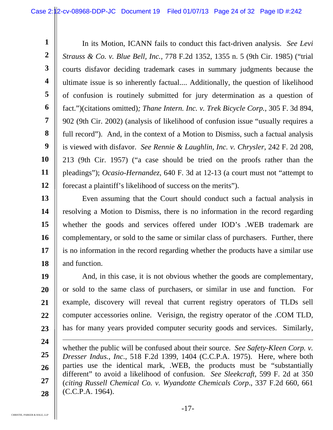**1 2 3 4 5 6 7 8 9 10 11 12**  In its Motion, ICANN fails to conduct this fact-driven analysis. *See Levi Strauss & Co. v. Blue Bell, Inc.,* 778 F.2d 1352, 1355 n. 5 (9th Cir. 1985) ("trial courts disfavor deciding trademark cases in summary judgments because the ultimate issue is so inherently factual.... Additionally, the question of likelihood of confusion is routinely submitted for jury determination as a question of fact.")(citations omitted)*; Thane Intern. Inc. v. Trek Bicycle Corp.,* 305 F. 3d 894, 902 (9th Cir. 2002) (analysis of likelihood of confusion issue "usually requires a full record"). And, in the context of a Motion to Dismiss, such a factual analysis is viewed with disfavor. *See Rennie & Laughlin, Inc. v. Chrysler,* 242 F. 2d 208, 213 (9th Cir. 1957) ("a case should be tried on the proofs rather than the pleadings"); *Ocasio-Hernandez,* 640 F. 3d at 12-13 (a court must not "attempt to forecast a plaintiff's likelihood of success on the merits").

**13 14 15 16 17 18**  Even assuming that the Court should conduct such a factual analysis in resolving a Motion to Dismiss, there is no information in the record regarding whether the goods and services offered under IOD's .WEB trademark are complementary, or sold to the same or similar class of purchasers. Further, there is no information in the record regarding whether the products have a similar use and function.

**19 20 21 22 23**  And, in this case, it is not obvious whether the goods are complementary, or sold to the same class of purchasers, or similar in use and function. For example, discovery will reveal that current registry operators of TLDs sell computer accessories online. Verisign, the registry operator of the .COM TLD, has for many years provided computer security goods and services. Similarly,

**<sup>24</sup>  25 26 27 28**   $\overline{a}$ whether the public will be confused about their source. *See Safety-Kleen Corp. v. Dresser Indus., Inc*., 518 F.2d 1399, 1404 (C.C.P.A. 1975). Here, where both parties use the identical mark, .WEB, the products must be "substantially different" to avoid a likelihood of confusion. *See Sleekcraft*, 599 F. 2d at 350 (*citing Russell Chemical Co. v. Wyandotte Chemicals Corp*., 337 F.2d 660, 661 (C.C.P.A. 1964).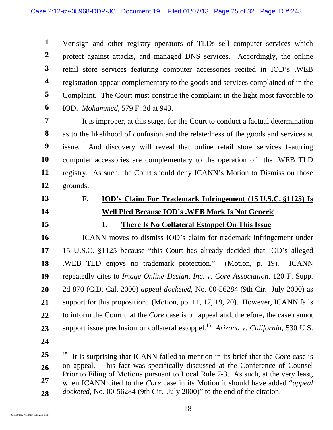Verisign and other registry operators of TLDs sell computer services which protect against attacks, and managed DNS services. Accordingly, the online retail store services featuring computer accessories recited in IOD's .WEB registration appear complementary to the goods and services complained of in the Complaint. The Court must construe the complaint in the light most favorable to IOD. *Mohammed,* 579 F. 3d at 943.

It is improper, at this stage, for the Court to conduct a factual determination as to the likelihood of confusion and the relatedness of the goods and services at issue. And discovery will reveal that online retail store services featuring computer accessories are complementary to the operation of the .WEB TLD registry. As such, the Court should deny ICANN's Motion to Dismiss on those grounds.

### **F. IOD's Claim For Trademark Infringement (15 U.S.C. §1125) Is Well Pled Because IOD's .WEB Mark Is Not Generic**

## **1. There Is No Collateral Estoppel On This Issue**

**16 17 18 19 20 21 22 23**  ICANN moves to dismiss IOD's claim for trademark infringement under 15 U.S.C. §1125 because "this Court has already decided that IOD's alleged .WEB TLD enjoys no trademark protection." (Motion, p. 19). ICANN repeatedly cites to *Image Online Design, Inc. v. Core Association*, 120 F. Supp. 2d 870 (C.D. Cal. 2000) *appeal docketed*, No. 00-56284 (9th Cir. July 2000) as support for this proposition. (Motion, pp. 11, 17, 19, 20). However, ICANN fails to inform the Court that the *Core* case is on appeal and, therefore, the case cannot support issue preclusion or collateral estoppel.<sup>15</sup> *Arizona v. California*, 530 U.S.

**24** 

 $\overline{a}$ 

**1** 

**2** 

**3** 

**4** 

**5** 

**6** 

**7** 

**8** 

**9** 

**10** 

**11** 

**12** 

**13** 

**14** 

**<sup>25</sup>  26 27 28**  15 It is surprising that ICANN failed to mention in its brief that the *Core* case is on appeal. This fact was specifically discussed at the Conference of Counsel Prior to Filing of Motions pursuant to Local Rule 7-3. As such, at the very least, when ICANN cited to the *Core* case in its Motion it should have added "*appeal docketed,* No. 00-56284 (9th Cir. July 2000)" to the end of the citation.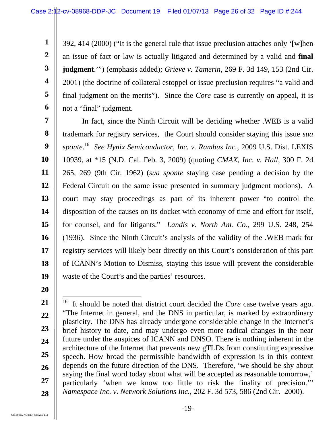392, 414 (2000) ("It is the general rule that issue preclusion attaches only '[w]hen an issue of fact or law is actually litigated and determined by a valid and **final judgment**.'") (emphasis added); *Grieve v. Tamerin*, 269 F. 3d 149, 153 (2nd Cir. 2001) (the doctrine of collateral estoppel or issue preclusion requires "a valid and final judgment on the merits"). Since the *Core* case is currently on appeal, it is not a "final" judgment.

**7 8 9 10 11 12 13 14 15 16 17 18 19**  In fact, since the Ninth Circuit will be deciding whether .WEB is a valid trademark for registry services, the Court should consider staying this issue *sua sponte*. 16 *See Hynix Semiconductor, Inc. v. Rambus Inc.*, 2009 U.S. Dist. LEXIS 10939, at \*15 (N.D. Cal. Feb. 3, 2009) (quoting *CMAX, Inc. v. Hall*, 300 F. 2d 265, 269 (9th Cir. 1962) (*sua sponte* staying case pending a decision by the Federal Circuit on the same issue presented in summary judgment motions). A court may stay proceedings as part of its inherent power "to control the disposition of the causes on its docket with economy of time and effort for itself, for counsel, and for litigants." *Landis v. North Am. Co*., 299 U.S. 248, 254 (1936). Since the Ninth Circuit's analysis of the validity of the .WEB mark for registry services will likely bear directly on this Court's consideration of this part of ICANN's Motion to Dismiss, staying this issue will prevent the considerable waste of the Court's and the parties' resources.

**20** 

**1** 

**2** 

**3** 

**4** 

**5** 

**<sup>21</sup>  22 23 24 25 26 27 28**   $\overline{a}$ 16 It should be noted that district court decided the *Core* case twelve years ago. "The Internet in general, and the DNS in particular, is marked by extraordinary plasticity. The DNS has already undergone considerable change in the Internet's brief history to date, and may undergo even more radical changes in the near future under the auspices of ICANN and DNSO. There is nothing inherent in the architecture of the Internet that prevents new gTLDs from constituting expressive speech. How broad the permissible bandwidth of expression is in this context depends on the future direction of the DNS. Therefore, 'we should be shy about saying the final word today about what will be accepted as reasonable tomorrow,' particularly 'when we know too little to risk the finality of precision.'" *Namespace Inc. v. Network Solutions Inc.,* 202 F. 3d 573, 586 (2nd Cir. 2000).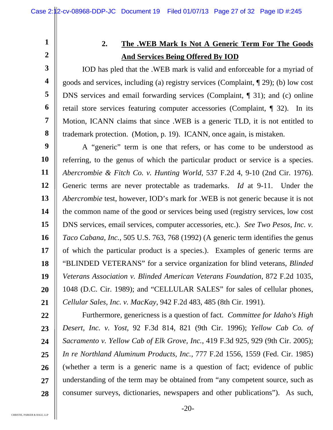**2** 

**3** 

**4** 

**5** 

**6** 

**7** 

**8** 

**1** 

## **2. The .WEB Mark Is Not A Generic Term For The Goods And Services Being Offered By IOD**

IOD has pled that the .WEB mark is valid and enforceable for a myriad of goods and services, including (a) registry services (Complaint, ¶ 29); (b) low cost DNS services and email forwarding services (Complaint, ¶ 31); and (c) online retail store services featuring computer accessories (Complaint, ¶ 32). In its Motion, ICANN claims that since .WEB is a generic TLD, it is not entitled to trademark protection. (Motion, p. 19). ICANN, once again, is mistaken.

**9 10 11 12 13 14 15 16 17 18 19 20 21**  A "generic" term is one that refers, or has come to be understood as referring, to the genus of which the particular product or service is a species. *Abercrombie & Fitch Co. v. Hunting World*, 537 F.2d 4, 9-10 (2nd Cir. 1976). Generic terms are never protectable as trademarks. *Id* at 9-11. Under the *Abercrombie* test, however, IOD's mark for .WEB is not generic because it is not the common name of the good or services being used (registry services, low cost DNS services, email services, computer accessories, etc.). *See Two Pesos, Inc. v. Taco Cabana, Inc.*, 505 U.S. 763, 768 (1992) (A generic term identifies the genus of which the particular product is a species.). Examples of generic terms are "BLINDED VETERANS" for a service organization for blind veterans, *Blinded Veterans Association v. Blinded American Veterans Foundation*, 872 F.2d 1035, 1048 (D.C. Cir. 1989); and "CELLULAR SALES" for sales of cellular phones, *Cellular Sales, Inc. v. MacKay*, 942 F.2d 483, 485 (8th Cir. 1991).

**22 23 24 25 26 27 28**  Furthermore, genericness is a question of fact. *Committee for Idaho's High Desert, Inc. v. Yost*, 92 F.3d 814, 821 (9th Cir. 1996); *Yellow Cab Co. of Sacramento v. Yellow Cab of Elk Grove, Inc.*, 419 F.3d 925, 929 (9th Cir. 2005); *In re Northland Aluminum Products, Inc.,* 777 F.2d 1556, 1559 (Fed. Cir. 1985) (whether a term is a generic name is a question of fact; evidence of public understanding of the term may be obtained from "any competent source, such as consumer surveys, dictionaries, newspapers and other publications"). As such,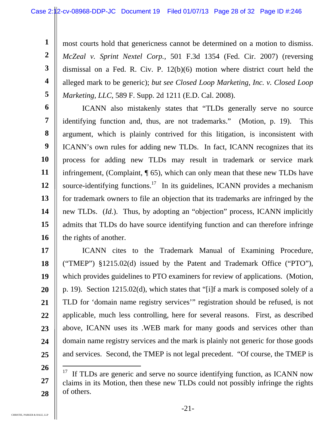most courts hold that genericness cannot be determined on a motion to dismiss. *McZeal v. Sprint Nextel Corp.,* 501 F.3d 1354 (Fed. Cir. 2007) (reversing dismissal on a Fed. R. Civ. P. 12(b)(6) motion where district court held the alleged mark to be generic); *but see Closed Loop Marketing, Inc. v. Closed Loop Marketing, LLC*, 589 F. Supp. 2d 1211 (E.D. Cal. 2008).

**6 7 8 9 10 11 12 13 14 15 16**  ICANN also mistakenly states that "TLDs generally serve no source identifying function and, thus, are not trademarks." (Motion, p. 19). This argument, which is plainly contrived for this litigation, is inconsistent with ICANN's own rules for adding new TLDs. In fact, ICANN recognizes that its process for adding new TLDs may result in trademark or service mark infringement, (Complaint, ¶ 65), which can only mean that these new TLDs have source-identifying functions.<sup>17</sup> In its guidelines, ICANN provides a mechanism for trademark owners to file an objection that its trademarks are infringed by the new TLDs. (*Id.*). Thus, by adopting an "objection" process, ICANN implicitly admits that TLDs do have source identifying function and can therefore infringe the rights of another.

**17 18 19 20 21 22 23 24 25**  ICANN cites to the Trademark Manual of Examining Procedure, ("TMEP") §1215.02(d) issued by the Patent and Trademark Office ("PTO"), which provides guidelines to PTO examiners for review of applications. (Motion, p. 19). Section 1215.02(d), which states that "[i]f a mark is composed solely of a TLD for 'domain name registry services'" registration should be refused, is not applicable, much less controlling, here for several reasons. First, as described above, ICANN uses its .WEB mark for many goods and services other than domain name registry services and the mark is plainly not generic for those goods and services. Second, the TMEP is not legal precedent. "Of course, the TMEP is

**1** 

**2** 

**3** 

**4** 

**<sup>26</sup>  27 28**  l  $17$  If TLDs are generic and serve no source identifying function, as ICANN now claims in its Motion, then these new TLDs could not possibly infringe the rights of others.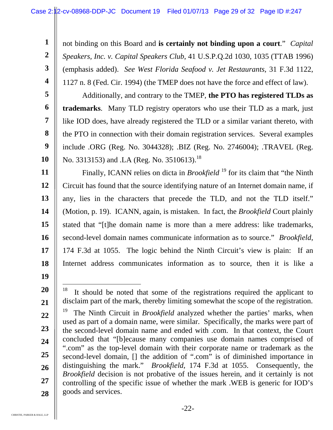not binding on this Board and **is certainly not binding upon a court**." *Capital Speakers, Inc. v. Capital Speakers Club*, 41 U.S.P.Q.2d 1030, 1035 (TTAB 1996) (emphasis added). *See West Florida Seafood v. Jet Restaurants*, 31 F.3d 1122, 1127 n. 8 (Fed. Cir. 1994) (the TMEP does not have the force and effect of law).

**5 6 7 8 9 10**  Additionally, and contrary to the TMEP, **the PTO has registered TLDs as trademarks**. Many TLD registry operators who use their TLD as a mark, just like IOD does, have already registered the TLD or a similar variant thereto, with the PTO in connection with their domain registration services. Several examples include .ORG (Reg. No. 3044328); .BIZ (Reg. No. 2746004); .TRAVEL (Reg. No. 3313153) and .LA (Reg. No. 3510613).<sup>18</sup>

**11 12 13 14 15 16 17 18**  Finally, ICANN relies on dicta in *Brookfield*<sup>19</sup> for its claim that "the Ninth" Circuit has found that the source identifying nature of an Internet domain name, if any, lies in the characters that precede the TLD, and not the TLD itself." (Motion, p. 19). ICANN, again, is mistaken. In fact, the *Brookfield* Court plainly stated that "[t]he domain name is more than a mere address: like trademarks, second-level domain names communicate information as to source." *Brookfield*, 174 F.3d at 1055. The logic behind the Ninth Circuit's view is plain: If an Internet address communicates information as to source, then it is like a

**19** 

**20** 

**21** 

**1** 

**2** 

**3** 

<sup>18</sup> It should be noted that some of the registrations required the applicant to disclaim part of the mark, thereby limiting somewhat the scope of the registration.

**<sup>22</sup>  23 24 25 26 27 28**  19 The Ninth Circuit in *Brookfield* analyzed whether the parties' marks, when used as part of a domain name, were similar. Specifically, the marks were part of the second-level domain name and ended with .com. In that context, the Court concluded that "[b]ecause many companies use domain names comprised of ".com" as the top-level domain with their corporate name or trademark as the second-level domain, [] the addition of ".com" is of diminished importance in distinguishing the mark." *Brookfield*, 174 F.3d at 1055. Consequently, the *Brookfield* decision is not probative of the issues herein, and it certainly is not controlling of the specific issue of whether the mark .WEB is generic for IOD's goods and services.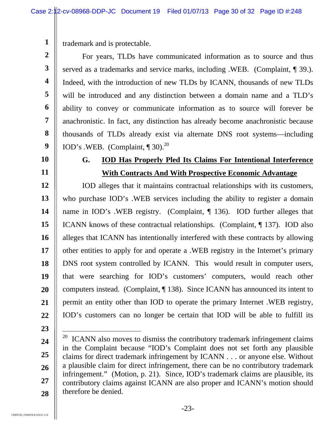trademark and is protectable.

**2 3 4 5 6 7 8 9**  For years, TLDs have communicated information as to source and thus served as a trademarks and service marks, including .WEB. (Complaint, ¶ 39.). Indeed, with the introduction of new TLDs by ICANN, thousands of new TLDs will be introduced and any distinction between a domain name and a TLD's ability to convey or communicate information as to source will forever be anachronistic. In fact, any distinction has already become anachronistic because thousands of TLDs already exist via alternate DNS root systems—including IOD's .WEB. (Complaint,  $\P$  30).<sup>20</sup>

**10** 

**11** 

**1** 

### **G. IOD Has Properly Pled Its Claims For Intentional Interference With Contracts And With Prospective Economic Advantage**

**12 13 14 15 16 17 18 19 20 21 22**  IOD alleges that it maintains contractual relationships with its customers, who purchase IOD's .WEB services including the ability to register a domain name in IOD's .WEB registry. (Complaint, ¶ 136). IOD further alleges that ICANN knows of these contractual relationships. (Complaint, ¶ 137). IOD also alleges that ICANN has intentionally interfered with these contracts by allowing other entities to apply for and operate a .WEB registry in the Internet's primary DNS root system controlled by ICANN. This would result in computer users, that were searching for IOD's customers' computers, would reach other computers instead. (Complaint, ¶ 138). Since ICANN has announced its intent to permit an entity other than IOD to operate the primary Internet .WEB registry, IOD's customers can no longer be certain that IOD will be able to fulfill its

**23** 

 $\overline{a}$ 

**<sup>24</sup>  25 26 27 28**  <sup>20</sup> ICANN also moves to dismiss the contributory trademark infringement claims in the Complaint because "IOD's Complaint does not set forth any plausible claims for direct trademark infringement by ICANN . . . or anyone else. Without a plausible claim for direct infringement, there can be no contributory trademark infringement." (Motion, p. 21). Since, IOD's trademark claims are plausible, its contributory claims against ICANN are also proper and ICANN's motion should therefore be denied.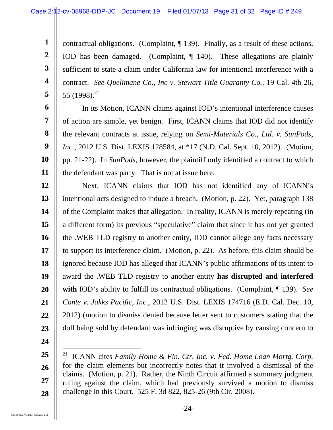contractual obligations. (Complaint, ¶ 139). Finally, as a result of these actions, IOD has been damaged. (Complaint, ¶ 140). These allegations are plainly sufficient to state a claim under California law for intentional interference with a contract. *See Quelimane Co., Inc v. Stewart Title Guaranty Co.,* 19 Cal. 4th 26, 55 (1998).<sup>21</sup>

**6 7 8 9 10 11**  In its Motion, ICANN claims against IOD's intentional interference causes of action are simple, yet benign. First, ICANN claims that IOD did not identify the relevant contracts at issue, relying on *Semi-Materials Co., Ltd. v. SunPods, Inc.*, 2012 U.S. Dist. LEXIS 128584, at \*17 (N.D. Cal. Sept. 10, 2012). (Motion, pp. 21-22). In *SunPods,* however, the plaintiff only identified a contract to which the defendant was party. That is not at issue here.

**12 13 14 15 16 17 18 19 20 21 22 23**  Next, ICANN claims that IOD has not identified any of ICANN's intentional acts designed to induce a breach. (Motion, p. 22). Yet, paragraph 138 of the Complaint makes that allegation. In reality, ICANN is merely repeating (in a different form) its previous "speculative" claim that since it has not yet granted the .WEB TLD registry to another entity, IOD cannot allege any facts necessary to support its interference claim. (Motion, p. 22). As before, this claim should be ignored because IOD has alleged that ICANN's public affirmations of its intent to award the .WEB TLD registry to another entity **has disrupted and interfered with** IOD's ability to fulfill its contractual obligations. (Complaint, ¶ 139). *See Conte v. Jakks Pacific, Inc.,* 2012 U.S. Dist. LEXIS 174716 (E.D. Cal. Dec. 10, 2012) (motion to dismiss denied because letter sent to customers stating that the doll being sold by defendant was infringing was disruptive by causing concern to

**24** 

 $\overline{a}$ 

**1** 

**2** 

**3** 

**4** 

**<sup>25</sup>  26 27 28**  21 ICANN cites *Family Home & Fin. Ctr. Inc. v. Fed. Home Loan Mortg. Corp.*  for the claim elements but incorrectly notes that it involved a dismissal of the claims. (Motion, p. 21). Rather, the Ninth Circuit affirmed a summary judgment ruling against the claim, which had previously survived a motion to dismiss challenge in this Court. 525 F. 3d 822, 825-26 (9th Cir. 2008).